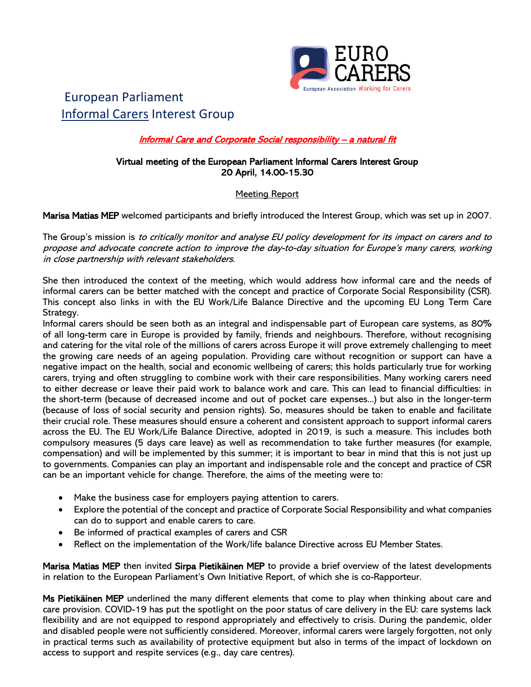

# European Parliament Informal Carers Interest Group

## Informal Care and Corporate Social responsibility - a natural fit

#### Virtual meeting of the European Parliament Informal Carers Interest Group 20 April, 14.00-15.30

## Meeting Report

Marisa Matias MEP welcomed participants and briefly introduced the Interest Group, which was set up in 2007.

The Group's mission is to critically monitor and analyse EU policy development for its impact on carers and to propose and advocate concrete action to improve the day-to-day situation for Europe's many carers, working in close partnership with relevant stakeholders.

She then introduced the context of the meeting, which would address how informal care and the needs of informal carers can be better matched with the concept and practice of Corporate Social Responsibility (CSR). This concept also links in with the EU Work/Life Balance Directive and the upcoming EU Long Term Care Strategy.

Informal carers should be seen both as an integral and indispensable part of European care systems, as 80% of all long-term care in Europe is provided by family, friends and neighbours. Therefore, without recognising and catering for the vital role of the millions of carers across Europe it will prove extremely challenging to meet the growing care needs of an ageing population. Providing care without recognition or support can have a negative impact on the health, social and economic wellbeing of carers; this holds particularly true for working carers, trying and often struggling to combine work with their care responsibilities. Many working carers need to either decrease or leave their paid work to balance work and care. This can lead to financial difficulties: in the short-term (because of decreased income and out of pocket care expenses...) but also in the longer-term (because of loss of social security and pension rights). So, measures should be taken to enable and facilitate their crucial role. These measures should ensure a coherent and consistent approach to support informal carers across the EU. The EU Work/Life Balance Directive, adopted in 2019, is such a measure. This includes both compulsory measures (5 days care leave) as well as recommendation to take further measures (for example, compensation) and will be implemented by this summer; it is important to bear in mind that this is not just up to governments. Companies can play an important and indispensable role and the concept and practice of CSR can be an important vehicle for change. Therefore, the aims of the meeting were to:

- Make the business case for employers paying attention to carers.
- Explore the potential of the concept and practice of Corporate Social Responsibility and what companies can do to support and enable carers to care.
- Be informed of practical examples of carers and CSR
- Reflect on the implementation of the Work/life balance Directive across EU Member States.

Marisa Matias MEP then invited Sirpa Pietikäinen MEP to provide a brief overview of the latest developments in relation to the European Parliament's Own Initiative Report, of which she is co-Rapporteur.

Ms Pietikäinen MEP underlined the many different elements that come to play when thinking about care and care provision. COVID-19 has put the spotlight on the poor status of care delivery in the EU: care systems lack flexibility and are not equipped to respond appropriately and effectively to crisis. During the pandemic, older and disabled people were not sufficiently considered. Moreover, informal carers were largely forgotten, not only in practical terms such as availability of protective equipment but also in terms of the impact of lockdown on access to support and respite services (e.g., day care centres).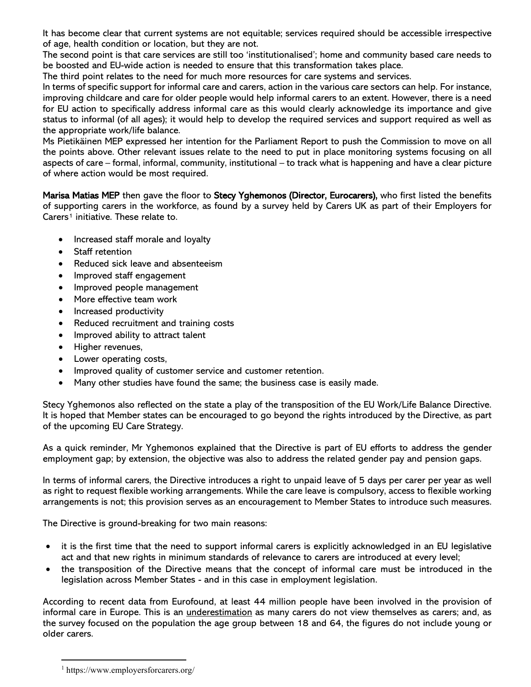It has become clear that current systems are not equitable; services required should be accessible irrespective of age, health condition or location, but they are not.

The second point is that care services are still too 'institutionalised'; home and community based care needs to be boosted and EU-wide action is needed to ensure that this transformation takes place.

The third point relates to the need for much more resources for care systems and services.

In terms of specific support for informal care and carers, action in the various care sectors can help. For instance, improving childcare and care for older people would help informal carers to an extent. However, there is a need for EU action to specifically address informal care as this would clearly acknowledge its importance and give status to informal (of all ages); it would help to develop the required services and support required as well as the appropriate work/life balance.

Ms Pietikäinen MEP expressed her intention for the Parliament Report to push the Commission to move on all the points above. Other relevant issues relate to the need to put in place monitoring systems focusing on all aspects of care – formal, informal, community, institutional – to track what is happening and have a clear picture of where action would be most required.

Marisa Matias MEP then gave the floor to Stecy Yghemonos (Director, Eurocarers), who first listed the benefits of supporting carers in the workforce, as found by a survey held by Carers UK as part of their Employers for Carers<sup>[1](#page-1-0)</sup> initiative. These relate to.

- Increased staff morale and loyalty
- Staff retention
- Reduced sick leave and absenteeism
- Improved staff engagement
- Improved people management
- More effective team work
- Increased productivity
- Reduced recruitment and training costs
- Improved ability to attract talent
- Higher revenues,
- Lower operating costs,
- Improved quality of customer service and customer retention.
- Many other studies have found the same; the business case is easily made.

Stecy Yghemonos also reflected on the state a play of the transposition of the EU Work/Life Balance Directive. It is hoped that Member states can be encouraged to go beyond the rights introduced by the Directive, as part of the upcoming EU Care Strategy.

As a quick reminder, Mr Yghemonos explained that the Directive is part of EU efforts to address the gender employment gap; by extension, the objective was also to address the related gender pay and pension gaps.

In terms of informal carers, the Directive introduces a right to unpaid leave of 5 days per carer per year as well as right to request flexible working arrangements. While the care leave is compulsory, access to flexible working arrangements is not; this provision serves as an encouragement to Member States to introduce such measures.

The Directive is ground-breaking for two main reasons:

- it is the first time that the need to support informal carers is explicitly acknowledged in an EU legislative act and that new rights in minimum standards of relevance to carers are introduced at every level;
- the transposition of the Directive means that the concept of informal care must be introduced in the legislation across Member States - and in this case in employment legislation.

According to recent data from Eurofound, at least 44 million people have been involved in the provision of informal care in Europe. This is an underestimation as many carers do not view themselves as carers; and, as the survey focused on the population the age group between 18 and 64, the figures do not include young or older carers.

<span id="page-1-0"></span><sup>1</sup> https://www.employersforcarers.org/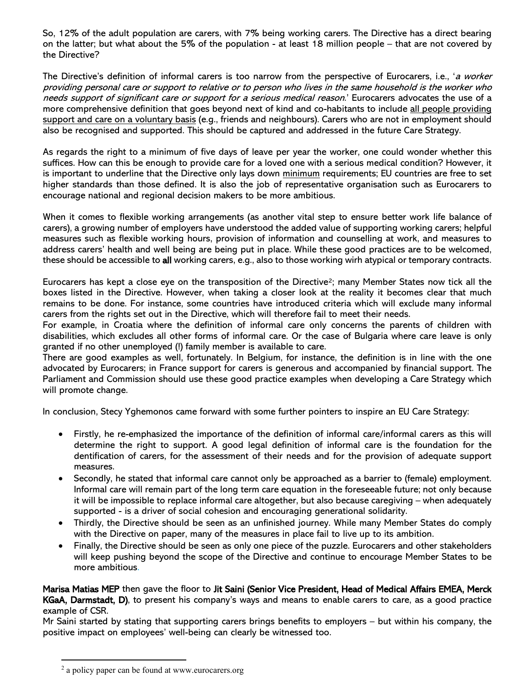So, 12% of the adult population are carers, with 7% being working carers. The Directive has a direct bearing on the latter; but what about the 5% of the population - at least 18 million people – that are not covered by the Directive?

The Directive's definition of informal carers is too narrow from the perspective of Eurocarers, i.e., 'a worker providing personal care or support to relative or to person who lives in the same household is the worker who needs support of significant care or support for a serious medical reason.' Eurocarers advocates the use of a more comprehensive definition that goes beyond next of kind and co-habitants to include all people providing support and care on a voluntary basis (e.g., friends and neighbours). Carers who are not in employment should also be recognised and supported. This should be captured and addressed in the future Care Strategy.

As regards the right to a minimum of five days of leave per year the worker, one could wonder whether this suffices. How can this be enough to provide care for a loved one with a serious medical condition? However, it is important to underline that the Directive only lays down minimum requirements; EU countries are free to set higher standards than those defined. It is also the job of representative organisation such as Eurocarers to encourage national and regional decision makers to be more ambitious.

When it comes to flexible working arrangements (as another vital step to ensure better work life balance of carers), a growing number of employers have understood the added value of supporting working carers; helpful measures such as flexible working hours, provision of information and counselling at work, and measures to address carers' health and well being are being put in place. While these good practices are to be welcomed, these should be accessible to all working carers, e.g., also to those working wirh atypical or temporary contracts.

Eurocarers has kept a close eye on the transposition of the Directive[2](#page-2-0); many Member States now tick all the boxes listed in the Directive. However, when taking a closer look at the reality it becomes clear that much remains to be done. For instance, some countries have introduced criteria which will exclude many informal carers from the rights set out in the Directive, which will therefore fail to meet their needs.

For example, in Croatia where the definition of informal care only concerns the parents of children with disabilities, which excludes all other forms of informal care. Or the case of Bulgaria where care leave is only granted if no other unemployed (!) family member is available to care.

There are good examples as well, fortunately. In Belgium, for instance, the definition is in line with the one advocated by Eurocarers; in France support for carers is generous and accompanied by financial support. The Parliament and Commission should use these good practice examples when developing a Care Strategy which will promote change.

In conclusion, Stecy Yghemonos came forward with some further pointers to inspire an EU Care Strategy:

- Firstly, he re-emphasized the importance of the definition of informal care/informal carers as this will determine the right to support. A good legal definition of informal care is the foundation for the dentification of carers, for the assessment of their needs and for the provision of adequate support measures.
- Secondly, he stated that informal care cannot only be approached as a barrier to (female) employment. Informal care will remain part of the long term care equation in the foreseeable future; not only because it will be impossible to replace informal care altogether, but also because caregiving – when adequately supported - is a driver of social cohesion and encouraging generational solidarity.
- Thirdly, the Directive should be seen as an unfinished journey. While many Member States do comply with the Directive on paper, many of the measures in place fail to live up to its ambition.
- Finally, the Directive should be seen as only one piece of the puzzle. Eurocarers and other stakeholders will keep pushing beyond the scope of the Directive and continue to encourage Member States to be more ambitious.

Marisa Matias MEP then gave the floor to Jit Saini (Senior Vice President, Head of Medical Affairs EMEA, Merck KGaA, Darmstadt, D), to present his company's ways and means to enable carers to care, as a good practice example of CSR.

Mr Saini started by stating that supporting carers brings benefits to employers – but within his company, the positive impact on employees' well-being can clearly be witnessed too.

<span id="page-2-0"></span><sup>&</sup>lt;sup>2</sup> a policy paper can be found at www.eurocarers.org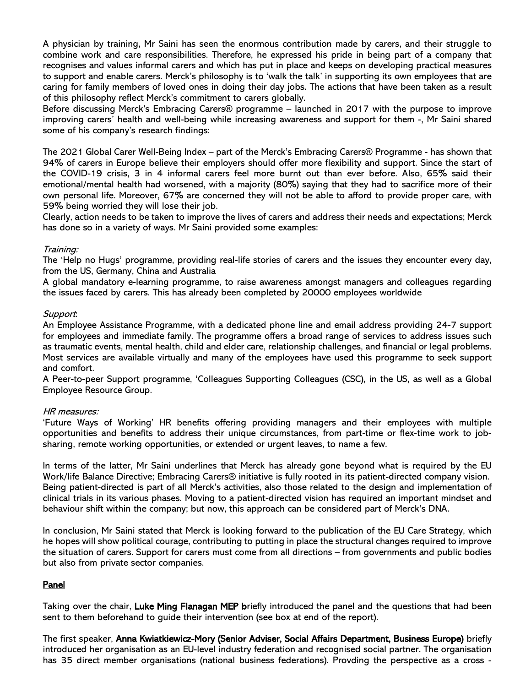A physician by training, Mr Saini has seen the enormous contribution made by carers, and their struggle to combine work and care responsibilities. Therefore, he expressed his pride in being part of a company that recognises and values informal carers and which has put in place and keeps on developing practical measures to support and enable carers. Merck's philosophy is to 'walk the talk' in supporting its own employees that are caring for family members of loved ones in doing their day jobs. The actions that have been taken as a result of this philosophy reflect Merck's commitment to carers globally.

Before discussing Merck's Embracing Carers® programme – launched in 2017 with the purpose to improve improving carers' health and well-being while increasing awareness and support for them -, Mr Saini shared some of his company's research findings:

The 2021 Global Carer Well-Being Index – part of the Merck's Embracing Carers® Programme - has shown that 94% of carers in Europe believe their employers should offer more flexibility and support. Since the start of the COVID-19 crisis, 3 in 4 informal carers feel more burnt out than ever before. Also, 65% said their emotional/mental health had worsened, with a majority (80%) saying that they had to sacrifice more of their own personal life. Moreover, 67% are concerned they will not be able to afford to provide proper care, with 59% being worried they will lose their job.

Clearly, action needs to be taken to improve the lives of carers and address their needs and expectations; Merck has done so in a variety of ways. Mr Saini provided some examples:

#### Training:

The 'Help no Hugs' programme, providing real-life stories of carers and the issues they encounter every day, from the US, Germany, China and Australia

A global mandatory e-learning programme, to raise awareness amongst managers and colleagues regarding the issues faced by carers. This has already been completed by 20000 employees worldwide

#### Support:

An Employee Assistance Programme, with a dedicated phone line and email address providing 24-7 support for employees and immediate family. The programme offers a broad range of services to address issues such as traumatic events, mental health, child and elder care, relationship challenges, and financial or legal problems. Most services are available virtually and many of the employees have used this programme to seek support and comfort.

A Peer-to-peer Support programme, 'Colleagues Supporting Colleagues (CSC), in the US, as well as a Global Employee Resource Group.

#### HR measures:

'Future Ways of Working' HR benefits offering providing managers and their employees with multiple opportunities and benefits to address their unique circumstances, from part-time or flex-time work to jobsharing, remote working opportunities, or extended or urgent leaves, to name a few.

In terms of the latter, Mr Saini underlines that Merck has already gone beyond what is required by the EU Work/life Balance Directive; Embracing Carers® initiative is fully rooted in its patient-directed company vision. Being patient-directed is part of all Merck's activities, also those related to the design and implementation of clinical trials in its various phases. Moving to a patient-directed vision has required an important mindset and behaviour shift within the company; but now, this approach can be considered part of Merck's DNA.

In conclusion, Mr Saini stated that Merck is looking forward to the publication of the EU Care Strategy, which he hopes will show political courage, contributing to putting in place the structural changes required to improve the situation of carers. Support for carers must come from all directions – from governments and public bodies but also from private sector companies.

## Panel

Taking over the chair, Luke Ming Flanagan MEP briefly introduced the panel and the questions that had been sent to them beforehand to guide their intervention (see box at end of the report).

The first speaker, Anna Kwiatkiewicz-Mory (Senior Adviser, Social Affairs Department, Business Europe) briefly introduced her organisation as an EU-level industry federation and recognised social partner. The organisation has 35 direct member organisations (national business federations). Provding the perspective as a cross -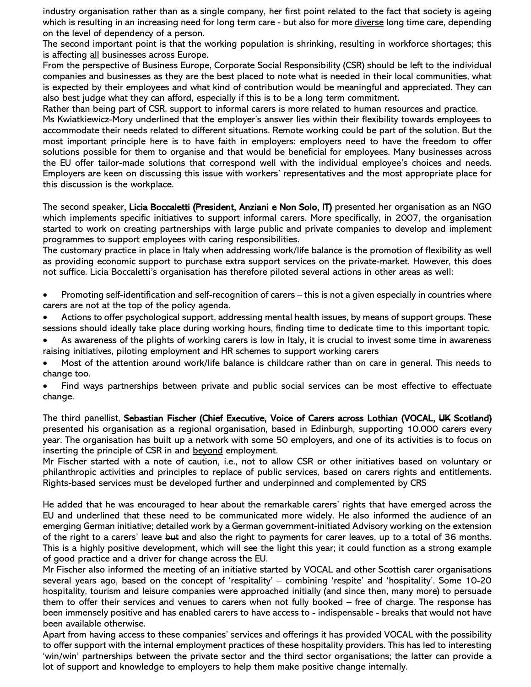industry organisation rather than as a single company, her first point related to the fact that society is ageing which is resulting in an increasing need for long term care - but also for more diverse long time care, depending on the level of dependency of a person.

The second important point is that the working population is shrinking, resulting in workforce shortages; this is affecting all businesses across Europe.

From the perspective of Business Europe, Corporate Social Responsibility (CSR) should be left to the individual companies and businesses as they are the best placed to note what is needed in their local communities, what is expected by their employees and what kind of contribution would be meaningful and appreciated. They can also best judge what they can afford, especially if this is to be a long term commitment.

Rather than being part of CSR, support to informal carers is more related to human resources and practice.

Ms Kwiatkiewicz-Mory underlined that the employer's answer lies within their flexibility towards employees to accommodate their needs related to different situations. Remote working could be part of the solution. But the most important principle here is to have faith in employers: employers need to have the freedom to offer solutions possible for them to organise and that would be beneficial for employees. Many businesses across the EU offer tailor-made solutions that correspond well with the individual employee's choices and needs. Employers are keen on discussing this issue with workers' representatives and the most appropriate place for this discussion is the workplace.

The second speaker, Licia Boccaletti (President, Anziani e Non Solo, IT) presented her organisation as an NGO which implements specific initiatives to support informal carers. More specifically, in 2007, the organisation started to work on creating partnerships with large public and private companies to develop and implement programmes to support employees with caring responsibilities.

The customary practice in place in Italy when addressing work/life balance is the promotion of flexibility as well as providing economic support to purchase extra support services on the private-market. However, this does not suffice. Licia Boccaletti's organisation has therefore piloted several actions in other areas as well:

- Promoting self-identification and self-recognition of carers this is not a given especially in countries where carers are not at the top of the policy agenda.
- Actions to offer psychological support, addressing mental health issues, by means of support groups. These sessions should ideally take place during working hours, finding time to dedicate time to this important topic.
- As awareness of the plights of working carers is low in Italy, it is crucial to invest some time in awareness raising initiatives, piloting employment and HR schemes to support working carers
- Most of the attention around work/life balance is childcare rather than on care in general. This needs to change too.
- Find ways partnerships between private and public social services can be most effective to effectuate change.

The third panellist, Sebastian Fischer (Chief Executive, Voice of Carers across Lothian (VOCAL, UK Scotland) presented his organisation as a regional organisation, based in Edinburgh, supporting 10.000 carers every year. The organisation has built up a network with some 50 employers, and one of its activities is to focus on inserting the principle of CSR in and beyond employment.

Mr Fischer started with a note of caution, i.e., not to allow CSR or other initiatives based on voluntary or philanthropic activities and principles to replace of public services, based on carers rights and entitlements. Rights-based services must be developed further and underpinned and complemented by CRS

He added that he was encouraged to hear about the remarkable carers' rights that have emerged across the EU and underlined that these need to be communicated more widely. He also informed the audience of an emerging German initiative; detailed work by a German government-initiated Advisory working on the extension of the right to a carers' leave but and also the right to payments for carer leaves, up to a total of 36 months. This is a highly positive development, which will see the light this year; it could function as a strong example of good practice and a driver for change across the EU.

Mr Fischer also informed the meeting of an initiative started by VOCAL and other Scottish carer organisations several years ago, based on the concept of 'respitality' – combining 'respite' and 'hospitality'. Some 10-20 hospitality, tourism and leisure companies were approached initially (and since then, many more) to persuade them to offer their services and venues to carers when not fully booked – free of charge. The response has been immensely positive and has enabled carers to have access to - indispensable - breaks that would not have been available otherwise.

Apart from having access to these companies' services and offerings it has provided VOCAL with the possibility to offer support with the internal employment practices of these hospitality providers. This has led to interesting 'win/win' partnerships between the private sector and the third sector organisations; the latter can provide a lot of support and knowledge to employers to help them make positive change internally.